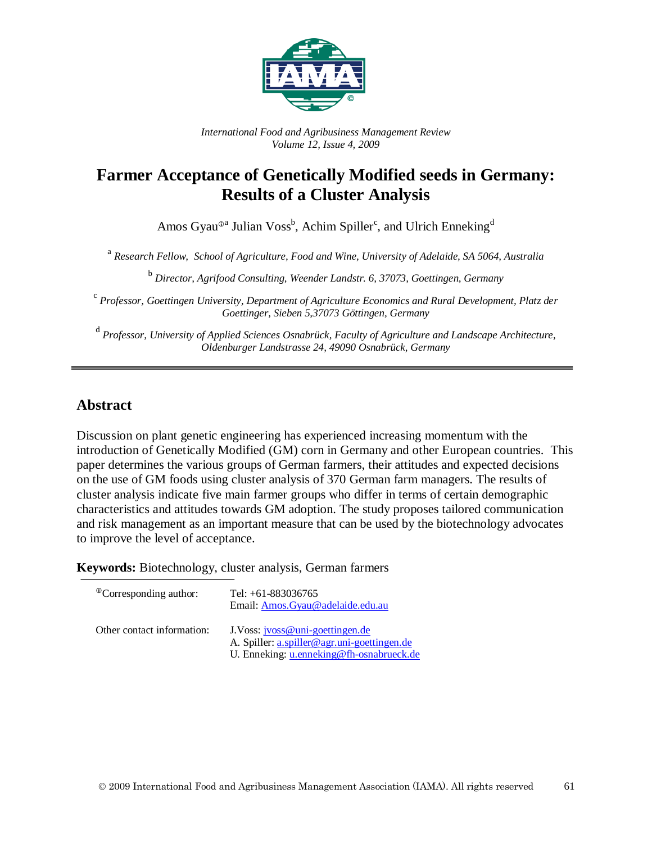

*International Food and Agribusiness Management Review Volume 12, Issue 4, 2009*

## **Farmer Acceptance of Genetically Modified seeds in Germany: Results of a Cluster Analysis**

Amos Gyau<sup>®a</sup> Julian Voss<sup>b</sup>, Achim Spiller<sup>c</sup>, and Ulrich Enneking<sup>d</sup>

<sup>a</sup> *Research Fellow, School of Agriculture, Food and Wine, University of Adelaide, SA 5064, Australia*

<sup>b</sup> *Director, Agrifood Consulting, Weender Landstr. 6, 37073, Goettingen, Germany*

<sup>c</sup> *Professor, Goettingen University, Department of Agriculture Economics and Rural Development, Platz der Goettinger, Sieben 5,37073 Göttingen, Germany*

<sup>d</sup> *Professor, University of Applied Sciences Osnabrück, Faculty of Agriculture and Landscape Architecture, Oldenburger Landstrasse 24, 49090 Osnabrück, Germany*

### **Abstract**

Discussion on plant genetic engineering has experienced increasing momentum with the introduction of Genetically Modified (GM) corn in Germany and other European countries. This paper determines the various groups of German farmers, their attitudes and expected decisions on the use of GM foods using cluster analysis of 370 German farm managers. The results of cluster analysis indicate five main farmer groups who differ in terms of certain demographic characteristics and attitudes towards GM adoption. The study proposes tailored communication and risk management as an important measure that can be used by the biotechnology advocates to improve the level of acceptance.

**Keywords:** Biotechnology, cluster analysis, German farmers

| <sup>The</sup> Corresponding author: | Tel: $+61-883036765$<br>Email: Amos.Gyau@adelaide.edu.au                        |
|--------------------------------------|---------------------------------------------------------------------------------|
| Other contact information:           | J. Voss: jvoss@uni-goettingen.de<br>A. Spiller: a.spiller@agr.uni-goettingen.de |
|                                      | U. Enneking: u.enneking@fh-osnabrueck.de                                        |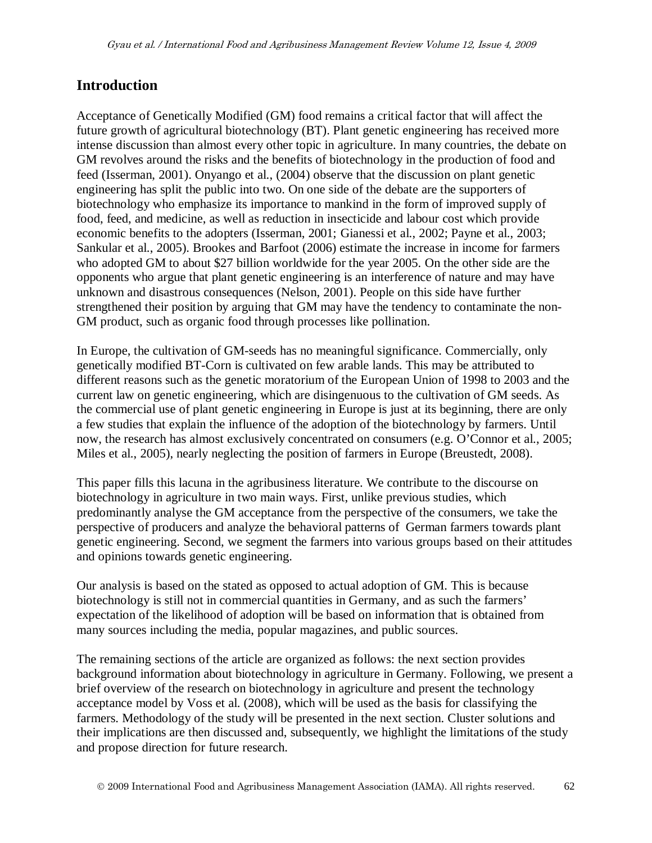### **Introduction**

Acceptance of Genetically Modified (GM) food remains a critical factor that will affect the future growth of agricultural biotechnology (BT). Plant genetic engineering has received more intense discussion than almost every other topic in agriculture. In many countries, the debate on GM revolves around the risks and the benefits of biotechnology in the production of food and feed (Isserman, 2001). Onyango et al., (2004) observe that the discussion on plant genetic engineering has split the public into two. On one side of the debate are the supporters of biotechnology who emphasize its importance to mankind in the form of improved supply of food, feed, and medicine, as well as reduction in insecticide and labour cost which provide economic benefits to the adopters (Isserman, 2001; Gianessi et al., 2002; Payne et al., 2003; Sankular et al., 2005). Brookes and Barfoot (2006) estimate the increase in income for farmers who adopted GM to about \$27 billion worldwide for the year 2005. On the other side are the opponents who argue that plant genetic engineering is an interference of nature and may have unknown and disastrous consequences (Nelson, 2001). People on this side have further strengthened their position by arguing that GM may have the tendency to contaminate the non-GM product, such as organic food through processes like pollination.

In Europe, the cultivation of GM-seeds has no meaningful significance. Commercially, only genetically modified BT-Corn is cultivated on few arable lands. This may be attributed to different reasons such as the genetic moratorium of the European Union of 1998 to 2003 and the current law on genetic engineering, which are disingenuous to the cultivation of GM seeds. As the commercial use of plant genetic engineering in Europe is just at its beginning, there are only a few studies that explain the influence of the adoption of the biotechnology by farmers. Until now, the research has almost exclusively concentrated on consumers (e.g. O'Connor et al., 2005; Miles et al., 2005), nearly neglecting the position of farmers in Europe (Breustedt, 2008).

This paper fills this lacuna in the agribusiness literature. We contribute to the discourse on biotechnology in agriculture in two main ways. First, unlike previous studies, which predominantly analyse the GM acceptance from the perspective of the consumers, we take the perspective of producers and analyze the behavioral patterns of German farmers towards plant genetic engineering. Second, we segment the farmers into various groups based on their attitudes and opinions towards genetic engineering.

Our analysis is based on the stated as opposed to actual adoption of GM. This is because biotechnology is still not in commercial quantities in Germany, and as such the farmers' expectation of the likelihood of adoption will be based on information that is obtained from many sources including the media, popular magazines, and public sources.

The remaining sections of the article are organized as follows: the next section provides background information about biotechnology in agriculture in Germany. Following, we present a brief overview of the research on biotechnology in agriculture and present the technology acceptance model by Voss et al. (2008), which will be used as the basis for classifying the farmers. Methodology of the study will be presented in the next section. Cluster solutions and their implications are then discussed and, subsequently, we highlight the limitations of the study and propose direction for future research.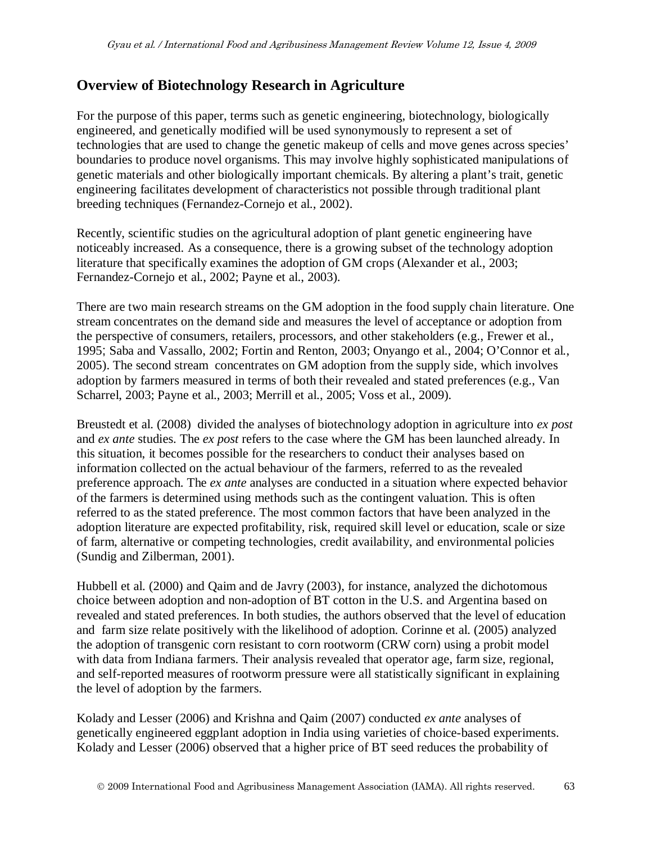## **Overview of Biotechnology Research in Agriculture**

For the purpose of this paper, terms such as genetic engineering, biotechnology, biologically engineered, and genetically modified will be used synonymously to represent a set of technologies that are used to change the genetic makeup of cells and move genes across species' boundaries to produce novel organisms. This may involve highly sophisticated manipulations of genetic materials and other biologically important chemicals. By altering a plant's trait, genetic engineering facilitates development of characteristics not possible through traditional plant breeding techniques (Fernandez-Cornejo et al., 2002).

Recently, scientific studies on the agricultural adoption of plant genetic engineering have noticeably increased. As a consequence, there is a growing subset of the technology adoption literature that specifically examines the adoption of GM crops (Alexander et al., 2003; Fernandez-Cornejo et al., 2002; Payne et al., 2003).

There are two main research streams on the GM adoption in the food supply chain literature. One stream concentrates on the demand side and measures the level of acceptance or adoption from the perspective of consumers, retailers, processors, and other stakeholders (e.g., Frewer et al., 1995; Saba and Vassallo, 2002; Fortin and Renton, 2003; Onyango et al., 2004; O'Connor et al*.*, 2005). The second stream concentrates on GM adoption from the supply side, which involves adoption by farmers measured in terms of both their revealed and stated preferences (e.g., Van Scharrel, 2003; Payne et al., 2003; Merrill et al., 2005; Voss et al., 2009).

Breustedt et al. (2008) divided the analyses of biotechnology adoption in agriculture into *ex post* and *ex ante* studies. The *ex post* refers to the case where the GM has been launched already. In this situation, it becomes possible for the researchers to conduct their analyses based on information collected on the actual behaviour of the farmers, referred to as the revealed preference approach. The *ex ante* analyses are conducted in a situation where expected behavior of the farmers is determined using methods such as the contingent valuation. This is often referred to as the stated preference. The most common factors that have been analyzed in the adoption literature are expected profitability, risk, required skill level or education, scale or size of farm, alternative or competing technologies, credit availability, and environmental policies (Sundig and Zilberman, 2001).

Hubbell et al. (2000) and Qaim and de Javry (2003), for instance, analyzed the dichotomous choice between adoption and non-adoption of BT cotton in the U.S. and Argentina based on revealed and stated preferences. In both studies, the authors observed that the level of education and farm size relate positively with the likelihood of adoption. Corinne et al. (2005) analyzed the adoption of transgenic corn resistant to corn rootworm (CRW corn) using a probit model with data from Indiana farmers. Their analysis revealed that operator age, farm size, regional, and self-reported measures of rootworm pressure were all statistically significant in explaining the level of adoption by the farmers.

Kolady and Lesser (2006) and Krishna and Qaim (2007) conducted *ex ante* analyses of genetically engineered eggplant adoption in India using varieties of choice-based experiments. Kolady and Lesser (2006) observed that a higher price of BT seed reduces the probability of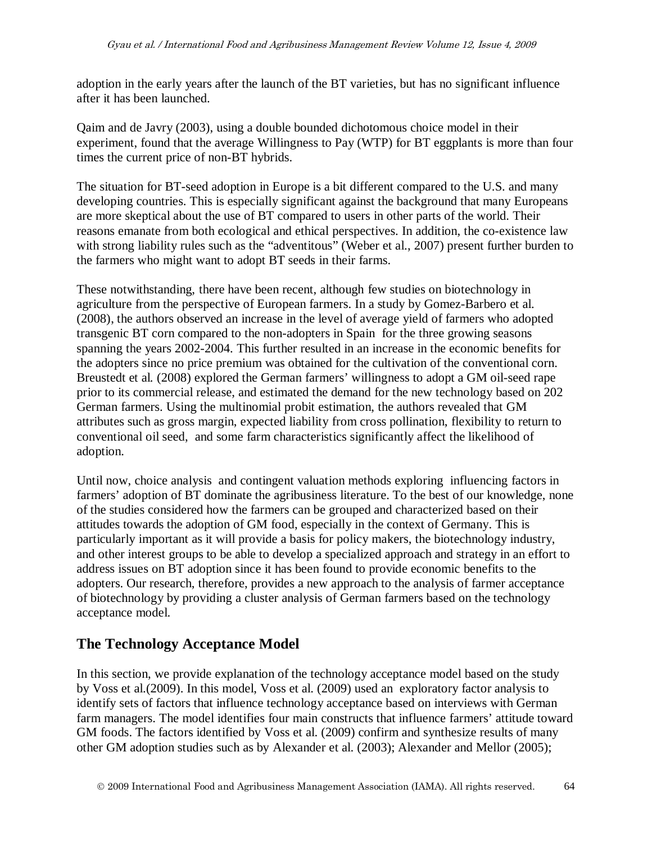adoption in the early years after the launch of the BT varieties, but has no significant influence after it has been launched.

Qaim and de Javry (2003), using a double bounded dichotomous choice model in their experiment, found that the average Willingness to Pay (WTP) for BT eggplants is more than four times the current price of non-BT hybrids.

The situation for BT-seed adoption in Europe is a bit different compared to the U.S. and many developing countries. This is especially significant against the background that many Europeans are more skeptical about the use of BT compared to users in other parts of the world. Their reasons emanate from both ecological and ethical perspectives. In addition, the co-existence law with strong liability rules such as the "adventitous" (Weber et al., 2007) present further burden to the farmers who might want to adopt BT seeds in their farms.

These notwithstanding, there have been recent, although few studies on biotechnology in agriculture from the perspective of European farmers. In a study by Gomez-Barbero et al. (2008), the authors observed an increase in the level of average yield of farmers who adopted transgenic BT corn compared to the non-adopters in Spain for the three growing seasons spanning the years 2002-2004. This further resulted in an increase in the economic benefits for the adopters since no price premium was obtained for the cultivation of the conventional corn. Breustedt et al*.* (2008) explored the German farmers' willingness to adopt a GM oil-seed rape prior to its commercial release, and estimated the demand for the new technology based on 202 German farmers. Using the multinomial probit estimation, the authors revealed that GM attributes such as gross margin, expected liability from cross pollination, flexibility to return to conventional oil seed, and some farm characteristics significantly affect the likelihood of adoption.

Until now, choice analysis and contingent valuation methods exploring influencing factors in farmers' adoption of BT dominate the agribusiness literature. To the best of our knowledge, none of the studies considered how the farmers can be grouped and characterized based on their attitudes towards the adoption of GM food, especially in the context of Germany. This is particularly important as it will provide a basis for policy makers, the biotechnology industry, and other interest groups to be able to develop a specialized approach and strategy in an effort to address issues on BT adoption since it has been found to provide economic benefits to the adopters. Our research, therefore, provides a new approach to the analysis of farmer acceptance of biotechnology by providing a cluster analysis of German farmers based on the technology acceptance model.

## **The Technology Acceptance Model**

In this section, we provide explanation of the technology acceptance model based on the study by Voss et al.(2009). In this model, Voss et al. (2009) used an exploratory factor analysis to identify sets of factors that influence technology acceptance based on interviews with German farm managers. The model identifies four main constructs that influence farmers' attitude toward GM foods. The factors identified by Voss et al. (2009) confirm and synthesize results of many other GM adoption studies such as by Alexander et al. (2003); Alexander and Mellor (2005);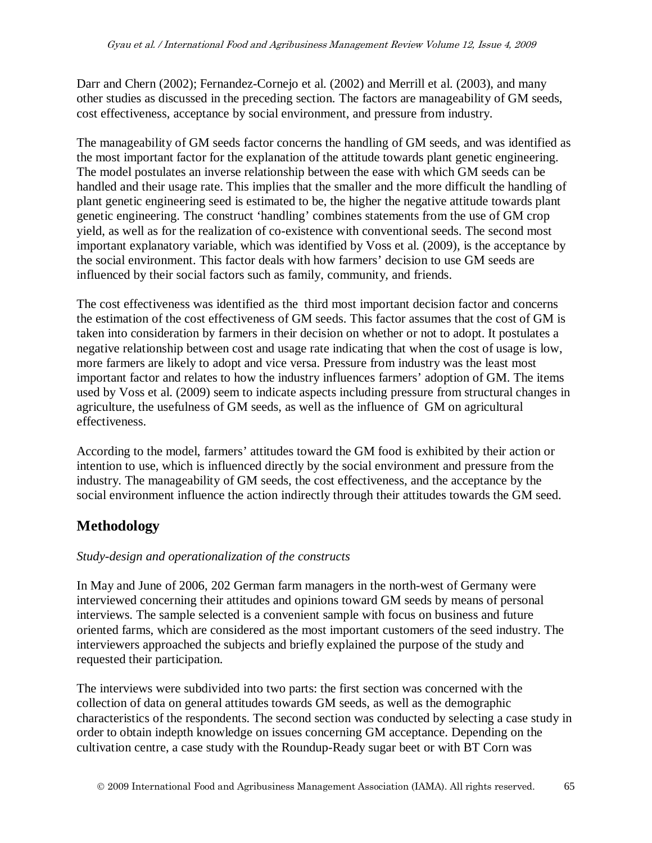Darr and Chern (2002); Fernandez-Cornejo et al. (2002) and Merrill et al. (2003), and many other studies as discussed in the preceding section. The factors are manageability of GM seeds, cost effectiveness, acceptance by social environment, and pressure from industry.

The manageability of GM seeds factor concerns the handling of GM seeds, and was identified as the most important factor for the explanation of the attitude towards plant genetic engineering. The model postulates an inverse relationship between the ease with which GM seeds can be handled and their usage rate. This implies that the smaller and the more difficult the handling of plant genetic engineering seed is estimated to be, the higher the negative attitude towards plant genetic engineering. The construct 'handling' combines statements from the use of GM crop yield, as well as for the realization of co-existence with conventional seeds. The second most important explanatory variable, which was identified by Voss et al. (2009), is the acceptance by the social environment. This factor deals with how farmers' decision to use GM seeds are influenced by their social factors such as family, community, and friends.

The cost effectiveness was identified as the third most important decision factor and concerns the estimation of the cost effectiveness of GM seeds. This factor assumes that the cost of GM is taken into consideration by farmers in their decision on whether or not to adopt. It postulates a negative relationship between cost and usage rate indicating that when the cost of usage is low, more farmers are likely to adopt and vice versa. Pressure from industry was the least most important factor and relates to how the industry influences farmers' adoption of GM. The items used by Voss et al. (2009) seem to indicate aspects including pressure from structural changes in agriculture, the usefulness of GM seeds, as well as the influence of GM on agricultural effectiveness.

According to the model, farmers' attitudes toward the GM food is exhibited by their action or intention to use, which is influenced directly by the social environment and pressure from the industry. The manageability of GM seeds, the cost effectiveness, and the acceptance by the social environment influence the action indirectly through their attitudes towards the GM seed.

## **Methodology**

#### *Study-design and operationalization of the constructs*

In May and June of 2006, 202 German farm managers in the north-west of Germany were interviewed concerning their attitudes and opinions toward GM seeds by means of personal interviews. The sample selected is a convenient sample with focus on business and future oriented farms, which are considered as the most important customers of the seed industry. The interviewers approached the subjects and briefly explained the purpose of the study and requested their participation.

The interviews were subdivided into two parts: the first section was concerned with the collection of data on general attitudes towards GM seeds, as well as the demographic characteristics of the respondents. The second section was conducted by selecting a case study in order to obtain indepth knowledge on issues concerning GM acceptance. Depending on the cultivation centre, a case study with the Roundup-Ready sugar beet or with BT Corn was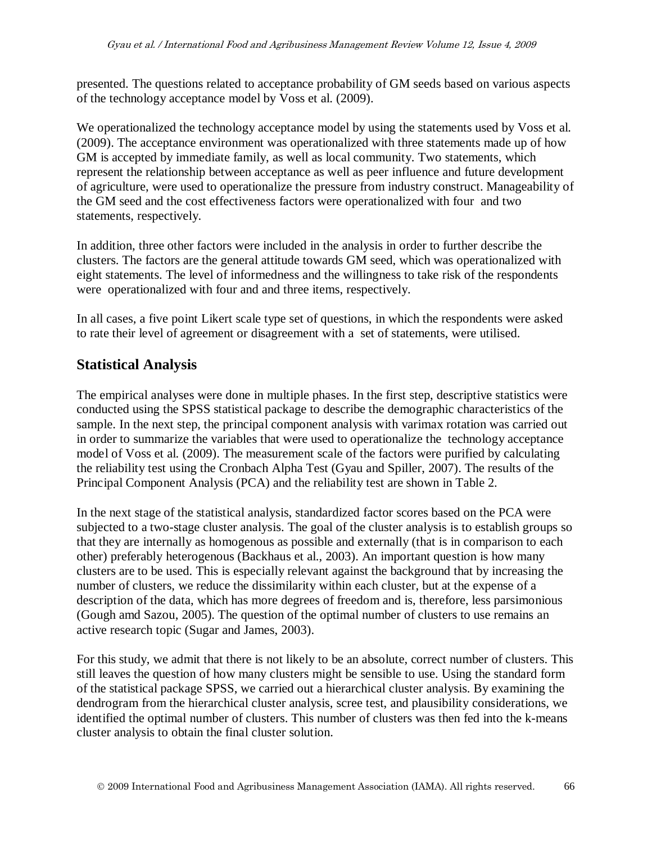presented. The questions related to acceptance probability of GM seeds based on various aspects of the technology acceptance model by Voss et al. (2009).

We operationalized the technology acceptance model by using the statements used by Voss et al. (2009). The acceptance environment was operationalized with three statements made up of how GM is accepted by immediate family, as well as local community. Two statements, which represent the relationship between acceptance as well as peer influence and future development of agriculture, were used to operationalize the pressure from industry construct. Manageability of the GM seed and the cost effectiveness factors were operationalized with four and two statements, respectively.

In addition, three other factors were included in the analysis in order to further describe the clusters. The factors are the general attitude towards GM seed, which was operationalized with eight statements. The level of informedness and the willingness to take risk of the respondents were operationalized with four and and three items, respectively.

In all cases, a five point Likert scale type set of questions, in which the respondents were asked to rate their level of agreement or disagreement with a set of statements, were utilised.

### **Statistical Analysis**

The empirical analyses were done in multiple phases. In the first step, descriptive statistics were conducted using the SPSS statistical package to describe the demographic characteristics of the sample. In the next step, the principal component analysis with varimax rotation was carried out in order to summarize the variables that were used to operationalize the technology acceptance model of Voss et al. (2009). The measurement scale of the factors were purified by calculating the reliability test using the Cronbach Alpha Test (Gyau and Spiller, 2007). The results of the Principal Component Analysis (PCA) and the reliability test are shown in Table 2.

In the next stage of the statistical analysis, standardized factor scores based on the PCA were subjected to a two-stage cluster analysis. The goal of the cluster analysis is to establish groups so that they are internally as homogenous as possible and externally (that is in comparison to each other) preferably heterogenous (Backhaus et al., 2003). An important question is how many clusters are to be used. This is especially relevant against the background that by increasing the number of clusters, we reduce the dissimilarity within each cluster, but at the expense of a description of the data, which has more degrees of freedom and is, therefore, less parsimonious (Gough amd Sazou, 2005). The question of the optimal number of clusters to use remains an active research topic (Sugar and James, 2003).

For this study, we admit that there is not likely to be an absolute, correct number of clusters. This still leaves the question of how many clusters might be sensible to use. Using the standard form of the statistical package SPSS, we carried out a hierarchical cluster analysis. By examining the dendrogram from the hierarchical cluster analysis, scree test, and plausibility considerations, we identified the optimal number of clusters. This number of clusters was then fed into the k-means cluster analysis to obtain the final cluster solution.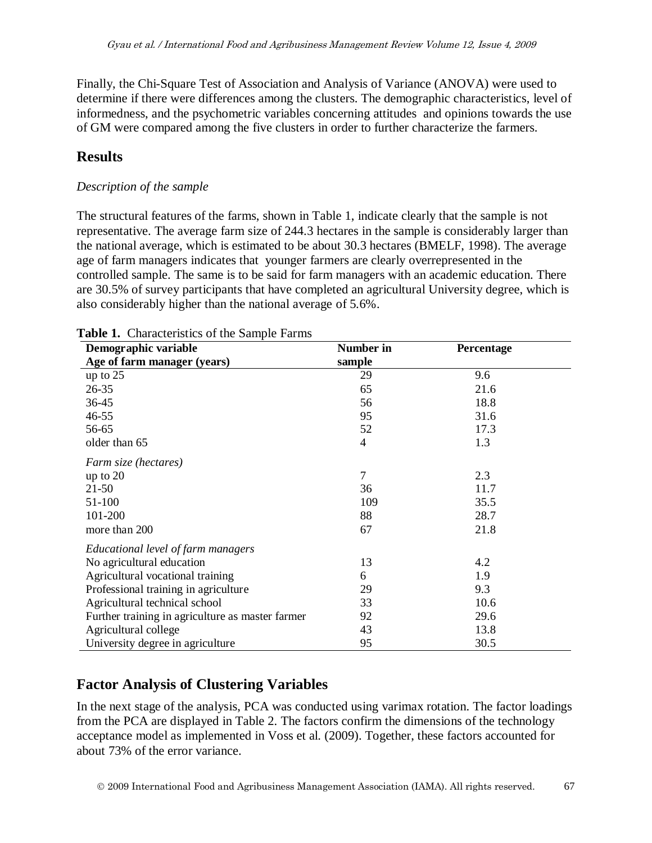Finally, the Chi-Square Test of Association and Analysis of Variance (ANOVA) were used to determine if there were differences among the clusters. The demographic characteristics, level of informedness, and the psychometric variables concerning attitudes and opinions towards the use of GM were compared among the five clusters in order to further characterize the farmers.

## **Results**

#### *Description of the sample*

The structural features of the farms, shown in Table 1, indicate clearly that the sample is not representative. The average farm size of 244.3 hectares in the sample is considerably larger than the national average, which is estimated to be about 30.3 hectares (BMELF, 1998). The average age of farm managers indicates that younger farmers are clearly overrepresented in the controlled sample. The same is to be said for farm managers with an academic education. There are 30.5% of survey participants that have completed an agricultural University degree, which is also considerably higher than the national average of 5.6%.

| Demographic variable                             | Number in      | Percentage |
|--------------------------------------------------|----------------|------------|
| Age of farm manager (years)                      | sample         |            |
| up to $25$                                       | 29             | 9.6        |
| $26 - 35$                                        | 65             | 21.6       |
| 36-45                                            | 56             | 18.8       |
| $46 - 55$                                        | 95             | 31.6       |
| 56-65                                            | 52             | 17.3       |
| older than 65                                    | 4              | 1.3        |
| Farm size (hectares)                             |                |            |
| up to $20$                                       | $\overline{7}$ | 2.3        |
| $21 - 50$                                        | 36             | 11.7       |
| 51-100                                           | 109            | 35.5       |
| 101-200                                          | 88             | 28.7       |
| more than 200                                    | 67             | 21.8       |
| Educational level of farm managers               |                |            |
| No agricultural education                        | 13             | 4.2        |
| Agricultural vocational training                 | 6              | 1.9        |
| Professional training in agriculture             | 29             | 9.3        |
| Agricultural technical school                    | 33             | 10.6       |
| Further training in agriculture as master farmer | 92             | 29.6       |
| Agricultural college                             | 43             | 13.8       |
| University degree in agriculture                 | 95             | 30.5       |

#### **Table 1.** Characteristics of the Sample Farms

## **Factor Analysis of Clustering Variables**

In the next stage of the analysis, PCA was conducted using varimax rotation. The factor loadings from the PCA are displayed in Table 2. The factors confirm the dimensions of the technology acceptance model as implemented in Voss et al. (2009). Together, these factors accounted for about 73% of the error variance.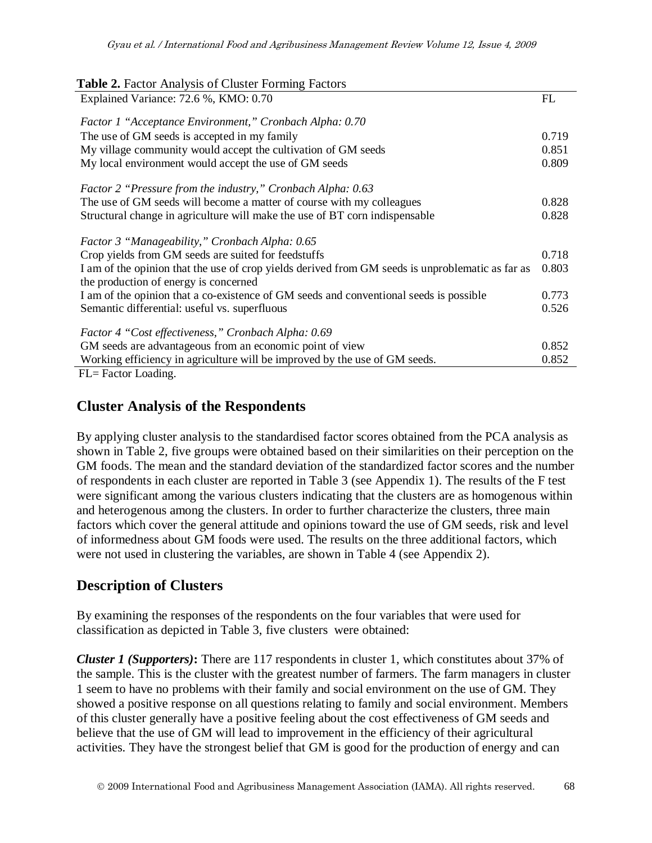Gyau et al. / International Food and Agribusiness Management Review Volume 12, Issue 4, 2009

| <b>Table 2.</b> Factor Analysis of Cluster Forming Factors                                       |       |
|--------------------------------------------------------------------------------------------------|-------|
| Explained Variance: 72.6 %, KMO: 0.70                                                            | FL    |
| Factor 1 "Acceptance Environment," Cronbach Alpha: 0.70                                          |       |
| The use of GM seeds is accepted in my family                                                     | 0.719 |
| My village community would accept the cultivation of GM seeds                                    | 0.851 |
|                                                                                                  |       |
| My local environment would accept the use of GM seeds                                            | 0.809 |
| Factor 2 "Pressure from the industry," Cronbach Alpha: 0.63                                      |       |
| The use of GM seeds will become a matter of course with my colleagues                            | 0.828 |
| Structural change in agriculture will make the use of BT corn indispensable                      | 0.828 |
| Factor 3 "Manageability," Cronbach Alpha: 0.65                                                   |       |
| Crop yields from GM seeds are suited for feedstuffs                                              | 0.718 |
| I am of the opinion that the use of crop yields derived from GM seeds is unproblematic as far as | 0.803 |
| the production of energy is concerned                                                            |       |
| I am of the opinion that a co-existence of GM seeds and conventional seeds is possible           | 0.773 |
| Semantic differential: useful vs. superfluous                                                    | 0.526 |
| Factor 4 "Cost effectiveness," Cronbach Alpha: 0.69                                              |       |
| GM seeds are advantageous from an economic point of view                                         | 0.852 |
| Working efficiency in agriculture will be improved by the use of GM seeds.                       | 0.852 |
| FL= Factor Loading.                                                                              |       |
|                                                                                                  |       |

#### **Cluster Analysis of the Respondents**

By applying cluster analysis to the standardised factor scores obtained from the PCA analysis as shown in Table 2, five groups were obtained based on their similarities on their perception on the GM foods. The mean and the standard deviation of the standardized factor scores and the number of respondents in each cluster are reported in Table 3 (see Appendix 1). The results of the F test were significant among the various clusters indicating that the clusters are as homogenous within and heterogenous among the clusters. In order to further characterize the clusters, three main factors which cover the general attitude and opinions toward the use of GM seeds, risk and level of informedness about GM foods were used. The results on the three additional factors, which were not used in clustering the variables, are shown in Table 4 (see Appendix 2).

#### **Description of Clusters**

By examining the responses of the respondents on the four variables that were used for classification as depicted in Table 3, five clusters were obtained:

*Cluster 1 (Supporters)***:** There are 117 respondents in cluster 1, which constitutes about 37% of the sample. This is the cluster with the greatest number of farmers. The farm managers in cluster 1 seem to have no problems with their family and social environment on the use of GM. They showed a positive response on all questions relating to family and social environment. Members of this cluster generally have a positive feeling about the cost effectiveness of GM seeds and believe that the use of GM will lead to improvement in the efficiency of their agricultural activities. They have the strongest belief that GM is good for the production of energy and can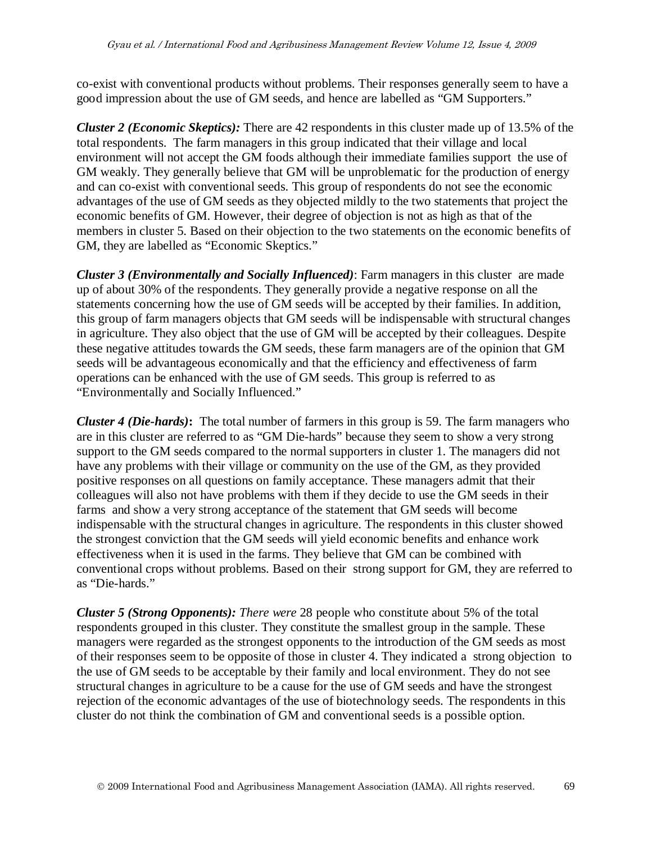co-exist with conventional products without problems. Their responses generally seem to have a good impression about the use of GM seeds, and hence are labelled as "GM Supporters."

*Cluster 2 (Economic Skeptics):* There are 42 respondents in this cluster made up of 13.5% of the total respondents. The farm managers in this group indicated that their village and local environment will not accept the GM foods although their immediate families support the use of GM weakly. They generally believe that GM will be unproblematic for the production of energy and can co-exist with conventional seeds. This group of respondents do not see the economic advantages of the use of GM seeds as they objected mildly to the two statements that project the economic benefits of GM. However, their degree of objection is not as high as that of the members in cluster 5. Based on their objection to the two statements on the economic benefits of GM, they are labelled as "Economic Skeptics."

*Cluster 3 (Environmentally and Socially Influenced)*: Farm managers in this cluster are made up of about 30% of the respondents. They generally provide a negative response on all the statements concerning how the use of GM seeds will be accepted by their families. In addition, this group of farm managers objects that GM seeds will be indispensable with structural changes in agriculture. They also object that the use of GM will be accepted by their colleagues. Despite these negative attitudes towards the GM seeds, these farm managers are of the opinion that GM seeds will be advantageous economically and that the efficiency and effectiveness of farm operations can be enhanced with the use of GM seeds. This group is referred to as "Environmentally and Socially Influenced."

*Cluster 4 (Die-hards)***:** The total number of farmers in this group is 59. The farm managers who are in this cluster are referred to as "GM Die-hards" because they seem to show a very strong support to the GM seeds compared to the normal supporters in cluster 1. The managers did not have any problems with their village or community on the use of the GM, as they provided positive responses on all questions on family acceptance. These managers admit that their colleagues will also not have problems with them if they decide to use the GM seeds in their farms and show a very strong acceptance of the statement that GM seeds will become indispensable with the structural changes in agriculture. The respondents in this cluster showed the strongest conviction that the GM seeds will yield economic benefits and enhance work effectiveness when it is used in the farms. They believe that GM can be combined with conventional crops without problems. Based on their strong support for GM, they are referred to as "Die-hards."

*Cluster 5 (Strong Opponents): There were* 28 people who constitute about 5% of the total respondents grouped in this cluster. They constitute the smallest group in the sample. These managers were regarded as the strongest opponents to the introduction of the GM seeds as most of their responses seem to be opposite of those in cluster 4. They indicated a strong objection to the use of GM seeds to be acceptable by their family and local environment. They do not see structural changes in agriculture to be a cause for the use of GM seeds and have the strongest rejection of the economic advantages of the use of biotechnology seeds. The respondents in this cluster do not think the combination of GM and conventional seeds is a possible option.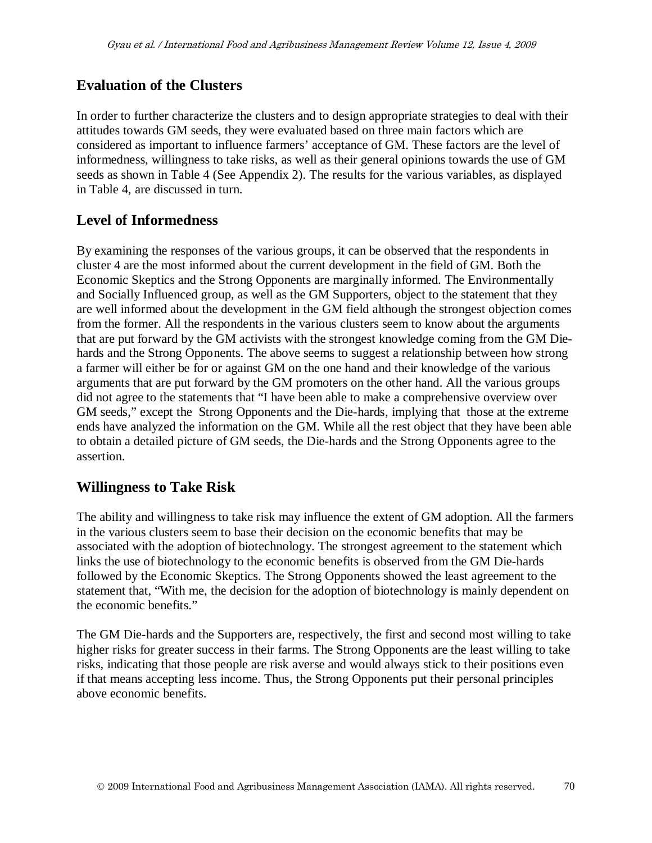## **Evaluation of the Clusters**

In order to further characterize the clusters and to design appropriate strategies to deal with their attitudes towards GM seeds, they were evaluated based on three main factors which are considered as important to influence farmers' acceptance of GM. These factors are the level of informedness, willingness to take risks, as well as their general opinions towards the use of GM seeds as shown in Table 4 (See Appendix 2). The results for the various variables, as displayed in Table 4, are discussed in turn.

#### **Level of Informedness**

By examining the responses of the various groups, it can be observed that the respondents in cluster 4 are the most informed about the current development in the field of GM. Both the Economic Skeptics and the Strong Opponents are marginally informed. The Environmentally and Socially Influenced group, as well as the GM Supporters, object to the statement that they are well informed about the development in the GM field although the strongest objection comes from the former. All the respondents in the various clusters seem to know about the arguments that are put forward by the GM activists with the strongest knowledge coming from the GM Diehards and the Strong Opponents. The above seems to suggest a relationship between how strong a farmer will either be for or against GM on the one hand and their knowledge of the various arguments that are put forward by the GM promoters on the other hand. All the various groups did not agree to the statements that "I have been able to make a comprehensive overview over GM seeds," except the Strong Opponents and the Die-hards, implying that those at the extreme ends have analyzed the information on the GM. While all the rest object that they have been able to obtain a detailed picture of GM seeds, the Die-hards and the Strong Opponents agree to the assertion.

### **Willingness to Take Risk**

The ability and willingness to take risk may influence the extent of GM adoption. All the farmers in the various clusters seem to base their decision on the economic benefits that may be associated with the adoption of biotechnology. The strongest agreement to the statement which links the use of biotechnology to the economic benefits is observed from the GM Die-hards followed by the Economic Skeptics. The Strong Opponents showed the least agreement to the statement that, "With me, the decision for the adoption of biotechnology is mainly dependent on the economic benefits."

The GM Die-hards and the Supporters are, respectively, the first and second most willing to take higher risks for greater success in their farms. The Strong Opponents are the least willing to take risks, indicating that those people are risk averse and would always stick to their positions even if that means accepting less income. Thus, the Strong Opponents put their personal principles above economic benefits.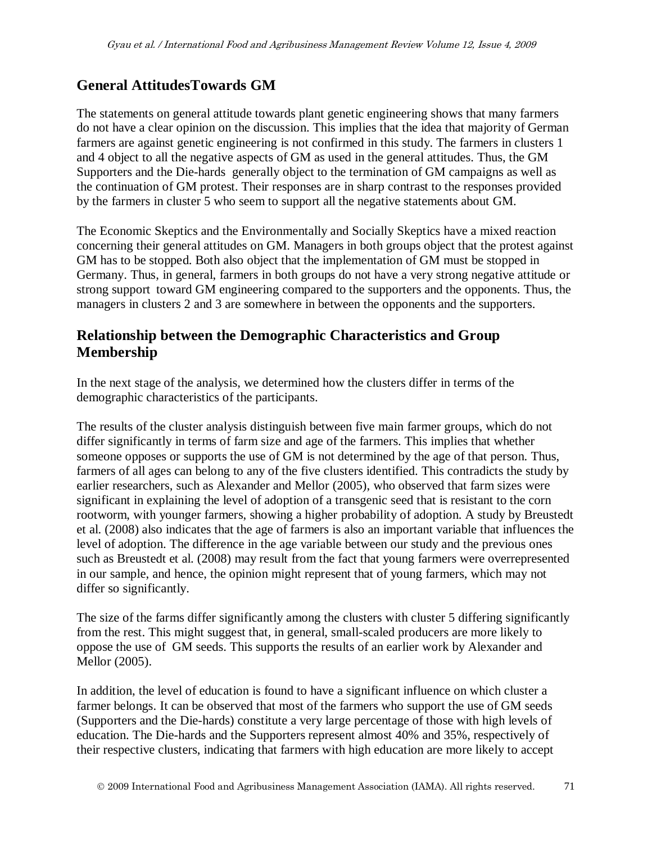## **General AttitudesTowards GM**

The statements on general attitude towards plant genetic engineering shows that many farmers do not have a clear opinion on the discussion. This implies that the idea that majority of German farmers are against genetic engineering is not confirmed in this study. The farmers in clusters 1 and 4 object to all the negative aspects of GM as used in the general attitudes. Thus, the GM Supporters and the Die-hards generally object to the termination of GM campaigns as well as the continuation of GM protest. Their responses are in sharp contrast to the responses provided by the farmers in cluster 5 who seem to support all the negative statements about GM.

The Economic Skeptics and the Environmentally and Socially Skeptics have a mixed reaction concerning their general attitudes on GM. Managers in both groups object that the protest against GM has to be stopped. Both also object that the implementation of GM must be stopped in Germany. Thus, in general, farmers in both groups do not have a very strong negative attitude or strong support toward GM engineering compared to the supporters and the opponents. Thus, the managers in clusters 2 and 3 are somewhere in between the opponents and the supporters.

## **Relationship between the Demographic Characteristics and Group Membership**

In the next stage of the analysis, we determined how the clusters differ in terms of the demographic characteristics of the participants.

The results of the cluster analysis distinguish between five main farmer groups, which do not differ significantly in terms of farm size and age of the farmers. This implies that whether someone opposes or supports the use of GM is not determined by the age of that person. Thus, farmers of all ages can belong to any of the five clusters identified. This contradicts the study by earlier researchers, such as Alexander and Mellor (2005), who observed that farm sizes were significant in explaining the level of adoption of a transgenic seed that is resistant to the corn rootworm, with younger farmers, showing a higher probability of adoption. A study by Breustedt et al. (2008) also indicates that the age of farmers is also an important variable that influences the level of adoption. The difference in the age variable between our study and the previous ones such as Breustedt et al. (2008) may result from the fact that young farmers were overrepresented in our sample, and hence, the opinion might represent that of young farmers, which may not differ so significantly.

The size of the farms differ significantly among the clusters with cluster 5 differing significantly from the rest. This might suggest that, in general, small-scaled producers are more likely to oppose the use of GM seeds. This supports the results of an earlier work by Alexander and Mellor (2005).

In addition, the level of education is found to have a significant influence on which cluster a farmer belongs. It can be observed that most of the farmers who support the use of GM seeds (Supporters and the Die-hards) constitute a very large percentage of those with high levels of education. The Die-hards and the Supporters represent almost 40% and 35%, respectively of their respective clusters, indicating that farmers with high education are more likely to accept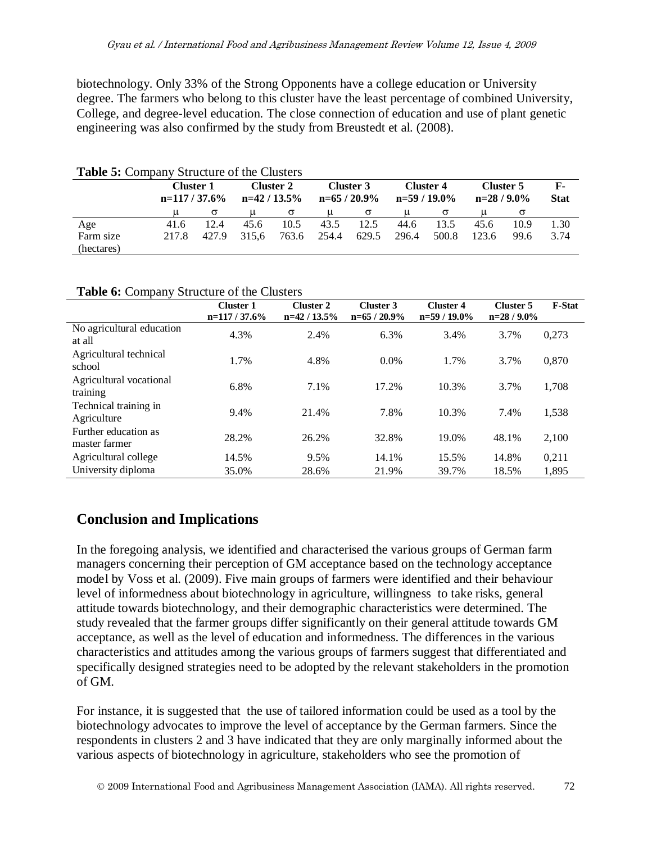biotechnology. Only 33% of the Strong Opponents have a college education or University degree. The farmers who belong to this cluster have the least percentage of combined University, College, and degree-level education. The close connection of education and use of plant genetic engineering was also confirmed by the study from Breustedt et al. (2008).

| <b>Table 5:</b> Company Structure of the Clusters |       |                                                          |       |          |       |                           |       |                            |                           |      |                             |
|---------------------------------------------------|-------|----------------------------------------------------------|-------|----------|-------|---------------------------|-------|----------------------------|---------------------------|------|-----------------------------|
|                                                   |       | Cluster 2<br>Cluster 1<br>$n=42/13.5%$<br>$n=117/37.6\%$ |       |          |       | Cluster 3<br>$n=65/20.9%$ |       | Cluster 4<br>$n=59/19.0\%$ | Cluster 5<br>$n=28/9.0\%$ |      | $\mathbf{F}$<br><b>Stat</b> |
|                                                   |       | $\sigma$                                                 |       | $\sigma$ | u     | $\sigma$                  | u     |                            |                           | σ    |                             |
| Age                                               | 41.6  | 12.4                                                     | 45.6  | 10.5     | 43.5  | 12.5                      | 44.6  | 13.5                       | 45.6                      | 10.9 | 1.30                        |
| Farm size<br>(hectares)                           | 217.8 | 427.9                                                    | 315.6 | 763.6    | 254.4 | 629.5                     | 296.4 | 500.8                      | 123.6                     | 99.6 | 3.74                        |

|  | Table 6: Company Structure of the Clusters |
|--|--------------------------------------------|
|  |                                            |

| . .<br>$\checkmark$                   | <b>Cluster 1</b><br>$n=117/37.6%$ | <b>Cluster 2</b><br>$n=42/13.5%$ | Cluster 3<br>$n=65/20.9%$ | <b>Cluster 4</b><br>$n=59/19.0\%$ | Cluster 5<br>$n=28/9.0%$ | <b>F-Stat</b> |
|---------------------------------------|-----------------------------------|----------------------------------|---------------------------|-----------------------------------|--------------------------|---------------|
| No agricultural education<br>at all   | 4.3%                              | 2.4%                             | 6.3%                      | 3.4%                              | 3.7%                     | 0,273         |
| Agricultural technical<br>school      | 1.7%                              | 4.8%                             | $0.0\%$                   | 1.7%                              | 3.7%                     | 0,870         |
| Agricultural vocational<br>training   | 6.8%                              | 7.1%                             | 17.2%                     | 10.3%                             | 3.7%                     | 1,708         |
| Technical training in<br>Agriculture  | 9.4%                              | 21.4%                            | 7.8%                      | 10.3%                             | 7.4%                     | 1,538         |
| Further education as<br>master farmer | 28.2%                             | 26.2%                            | 32.8%                     | 19.0%                             | 48.1%                    | 2,100         |
| Agricultural college                  | 14.5%                             | 9.5%                             | 14.1%                     | 15.5%                             | 14.8%                    | 0,211         |
| University diploma                    | 35.0%                             | 28.6%                            | 21.9%                     | 39.7%                             | 18.5%                    | 1.895         |

## **Conclusion and Implications**

In the foregoing analysis, we identified and characterised the various groups of German farm managers concerning their perception of GM acceptance based on the technology acceptance model by Voss et al. (2009). Five main groups of farmers were identified and their behaviour level of informedness about biotechnology in agriculture, willingness to take risks, general attitude towards biotechnology, and their demographic characteristics were determined. The study revealed that the farmer groups differ significantly on their general attitude towards GM acceptance, as well as the level of education and informedness. The differences in the various characteristics and attitudes among the various groups of farmers suggest that differentiated and specifically designed strategies need to be adopted by the relevant stakeholders in the promotion of GM.

For instance, it is suggested that the use of tailored information could be used as a tool by the biotechnology advocates to improve the level of acceptance by the German farmers. Since the respondents in clusters 2 and 3 have indicated that they are only marginally informed about the various aspects of biotechnology in agriculture, stakeholders who see the promotion of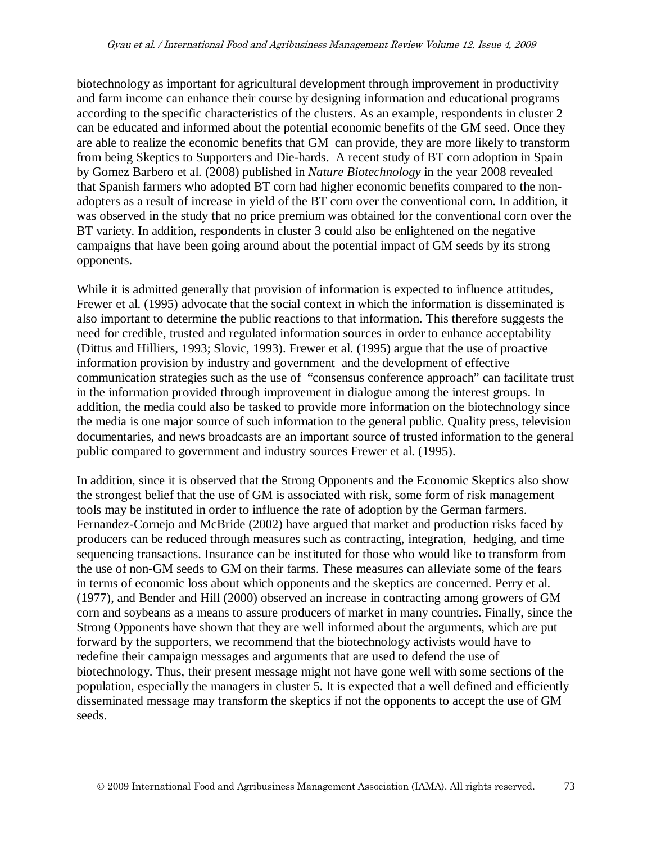biotechnology as important for agricultural development through improvement in productivity and farm income can enhance their course by designing information and educational programs according to the specific characteristics of the clusters. As an example, respondents in cluster 2 can be educated and informed about the potential economic benefits of the GM seed. Once they are able to realize the economic benefits that GM can provide, they are more likely to transform from being Skeptics to Supporters and Die-hards. A recent study of BT corn adoption in Spain by Gomez Barbero et al. (2008) published in *Nature Biotechnology* in the year 2008 revealed that Spanish farmers who adopted BT corn had higher economic benefits compared to the nonadopters as a result of increase in yield of the BT corn over the conventional corn. In addition, it was observed in the study that no price premium was obtained for the conventional corn over the BT variety. In addition, respondents in cluster 3 could also be enlightened on the negative campaigns that have been going around about the potential impact of GM seeds by its strong opponents.

While it is admitted generally that provision of information is expected to influence attitudes, Frewer et al. (1995) advocate that the social context in which the information is disseminated is also important to determine the public reactions to that information. This therefore suggests the need for credible, trusted and regulated information sources in order to enhance acceptability (Dittus and Hilliers, 1993; Slovic, 1993). Frewer et al. (1995) argue that the use of proactive information provision by industry and government and the development of effective communication strategies such as the use of "consensus conference approach" can facilitate trust in the information provided through improvement in dialogue among the interest groups. In addition, the media could also be tasked to provide more information on the biotechnology since the media is one major source of such information to the general public. Quality press, television documentaries, and news broadcasts are an important source of trusted information to the general public compared to government and industry sources Frewer et al. (1995).

In addition, since it is observed that the Strong Opponents and the Economic Skeptics also show the strongest belief that the use of GM is associated with risk, some form of risk management tools may be instituted in order to influence the rate of adoption by the German farmers. Fernandez-Cornejo and McBride (2002) have argued that market and production risks faced by producers can be reduced through measures such as contracting, integration, hedging, and time sequencing transactions. Insurance can be instituted for those who would like to transform from the use of non-GM seeds to GM on their farms. These measures can alleviate some of the fears in terms of economic loss about which opponents and the skeptics are concerned. Perry et al. (1977), and Bender and Hill (2000) observed an increase in contracting among growers of GM corn and soybeans as a means to assure producers of market in many countries. Finally, since the Strong Opponents have shown that they are well informed about the arguments, which are put forward by the supporters, we recommend that the biotechnology activists would have to redefine their campaign messages and arguments that are used to defend the use of biotechnology. Thus, their present message might not have gone well with some sections of the population, especially the managers in cluster 5. It is expected that a well defined and efficiently disseminated message may transform the skeptics if not the opponents to accept the use of GM seeds.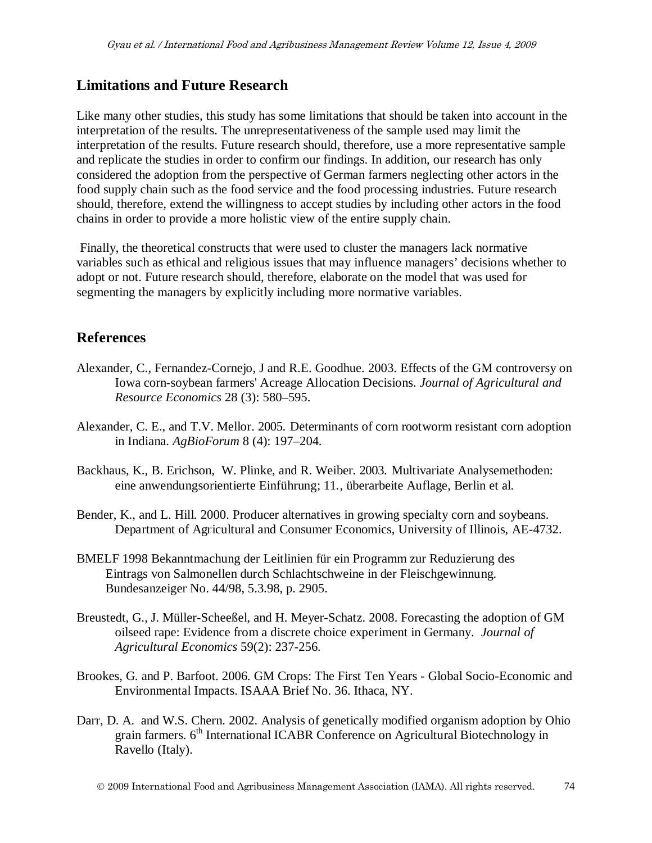#### **Limitations and Future Research**

Like many other studies, this study has some limitations that should be taken into account in the interpretation of the results. The unrepresentativeness of the sample used may limit the interpretation of the results. Future research should, therefore, use a more representative sample and replicate the studies in order to confirm our findings. In addition, our research has only considered the adoption from the perspective of German farmers neglecting other actors in the food supply chain such as the food service and the food processing industries. Future research should, therefore, extend the willingness to accept studies by including other actors in the food chains in order to provide a more holistic view of the entire supply chain.

Finally, the theoretical constructs that were used to cluster the managers lack normative variables such as ethical and religious issues that may influence managers' decisions whether to adopt or not. Future research should, therefore, elaborate on the model that was used for segmenting the managers by explicitly including more normative variables.

#### **References**

- Alexander, C., Fernandez-Cornejo, J and R.E. Goodhue. 2003. Effects of the GM controversy on Iowa corn-soybean farmers' Acreage Allocation Decisions. *Journal of Agricultural and Resource Economics* 28 (3): 580–595.
- Alexander, C. E., and T.V. Mellor. 2005. Determinants of corn rootworm resistant corn adoption in Indiana. *AgBioForum* 8 (4): 197–204.
- Backhaus, K., B. Erichson, W. Plinke, and R. Weiber. 2003. Multivariate Analysemethoden: eine anwendungsorientierte Einführung; 11., überarbeite Auflage, Berlin et al.
- Bender, K., and L. Hill. 2000. Producer alternatives in growing specialty corn and soybeans. Department of Agricultural and Consumer Economics, University of Illinois, AE-4732.
- BMELF 1998 Bekanntmachung der Leitlinien für ein Programm zur Reduzierung des Eintrags von Salmonellen durch Schlachtschweine in der Fleischgewinnung. Bundesanzeiger No. 44/98, 5.3.98, p. 2905.
- Breustedt, G., J. Müller-Scheeßel, and H. Meyer-Schatz. 2008. Forecasting the adoption of GM oilseed rape: Evidence from a discrete choice experiment in Germany. *Journal of Agricultural Economics* 59(2): 237-256.
- Brookes, G. and P. Barfoot. 2006. GM Crops: The First Ten Years Global Socio-Economic and Environmental Impacts. ISAAA Brief No. 36. Ithaca, NY.
- Darr, D. A. and W.S. Chern. 2002. Analysis of genetically modified organism adoption by Ohio grain farmers. 6<sup>th</sup> International ICABR Conference on Agricultural Biotechnology in Ravello (Italy).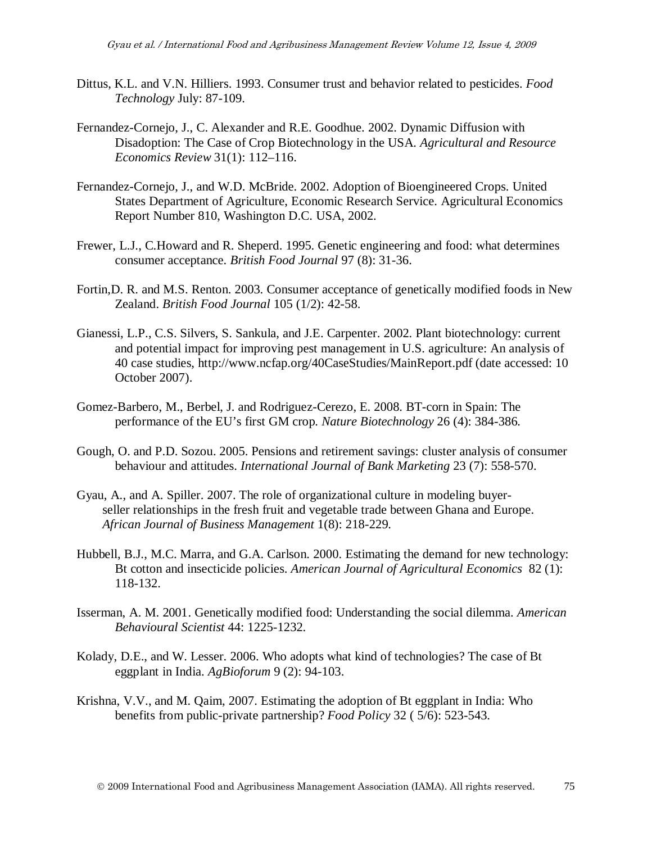- Dittus, K.L. and V.N. Hilliers. 1993. Consumer trust and behavior related to pesticides. *Food Technology* July: 87-109.
- Fernandez-Cornejo, J., C. Alexander and R.E. Goodhue. 2002. Dynamic Diffusion with Disadoption: The Case of Crop Biotechnology in the USA. *Agricultural and Resource Economics Review* 31(1): 112–116.
- Fernandez-Cornejo, J., and W.D. McBride. 2002. Adoption of Bioengineered Crops. United States Department of Agriculture, Economic Research Service. Agricultural Economics Report Number 810, Washington D.C. USA, 2002.
- Frewer, L.J., C.Howard and R. Sheperd. 1995. Genetic engineering and food: what determines consumer acceptance. *British Food Journal* 97 (8): 31-36.
- Fortin,D. R. and M.S. Renton. 2003. Consumer acceptance of genetically modified foods in New Zealand. *British Food Journal* 105 (1/2): 42-58.
- Gianessi, L.P., C.S. Silvers, S. Sankula, and J.E. Carpenter. 2002. Plant biotechnology: current and potential impact for improving pest management in U.S. agriculture: An analysis of 40 case studies, http://www.ncfap.org/40CaseStudies/MainReport.pdf (date accessed: 10 October 2007).
- Gomez-Barbero, M., Berbel, J. and Rodriguez-Cerezo, E. 2008. BT-corn in Spain: The performance of the EU's first GM crop. *Nature Biotechnology* 26 (4): 384-386.
- Gough, O. and P.D. Sozou. 2005. Pensions and retirement savings: cluster analysis of consumer behaviour and attitudes. *International Journal of Bank Marketing* 23 (7): 558-570.
- Gyau, A., and A. Spiller. 2007. The role of organizational culture in modeling buyer seller relationships in the fresh fruit and vegetable trade between Ghana and Europe. *African Journal of Business Management* 1(8): 218-229.
- Hubbell, B.J., M.C. Marra, and G.A. Carlson. 2000. Estimating the demand for new technology: Bt cotton and insecticide policies. *American Journal of Agricultural Economics* 82 (1): 118-132.
- Isserman, A. M. 2001. Genetically modified food: Understanding the social dilemma. *American Behavioural Scientist* 44: 1225-1232.
- Kolady, D.E., and W. Lesser. 2006. Who adopts what kind of technologies? The case of Bt eggplant in India. *AgBioforum* 9 (2): 94-103.
- Krishna, V.V., and M. Qaim, 2007. Estimating the adoption of Bt eggplant in India: Who benefits from public-private partnership? *Food Policy* 32 ( 5/6): 523-543.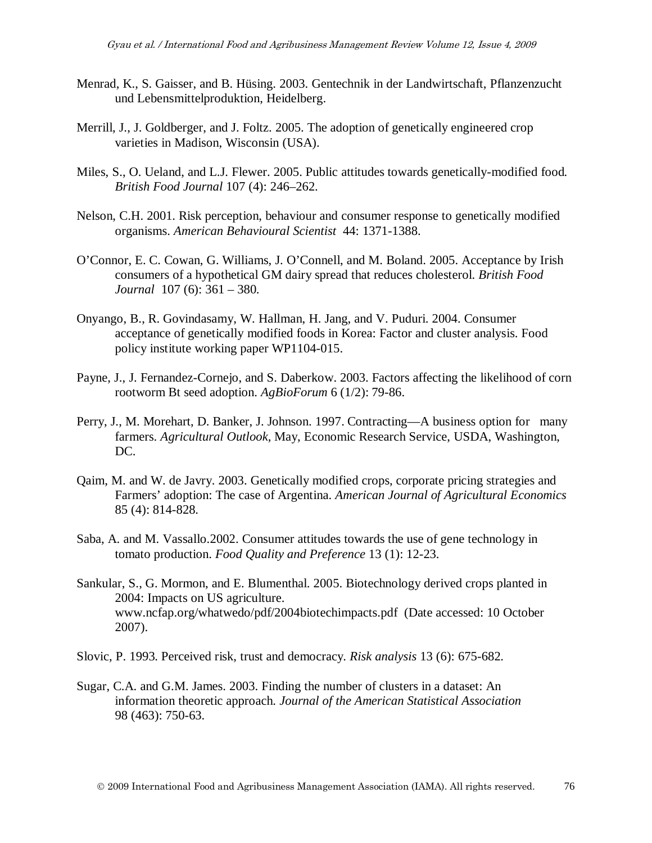- Menrad, K., S. Gaisser, and B. Hüsing. 2003. Gentechnik in der Landwirtschaft, Pflanzenzucht und Lebensmittelproduktion, Heidelberg.
- Merrill, J., J. Goldberger, and J. Foltz. 2005. The adoption of genetically engineered crop varieties in Madison, Wisconsin (USA).
- Miles, S., O. Ueland, and L.J. Flewer. 2005. Public attitudes towards genetically-modified food*. British Food Journal* 107 (4): 246–262.
- Nelson, C.H. 2001. Risk perception, behaviour and consumer response to genetically modified organisms. *American Behavioural Scientist* 44: 1371-1388.
- O'Connor, E. C. Cowan, G. Williams, J. O'Connell, and M. Boland. 2005. Acceptance by Irish consumers of a hypothetical GM dairy spread that reduces cholesterol. *British Food Journal* 107 (6): 361 – 380.
- Onyango, B., R. Govindasamy, W. Hallman, H. Jang, and V. Puduri. 2004. Consumer acceptance of genetically modified foods in Korea: Factor and cluster analysis. Food policy institute working paper WP1104-015.
- Payne, J., J. Fernandez-Cornejo, and S. Daberkow. 2003. Factors affecting the likelihood of corn rootworm Bt seed adoption. *AgBioForum* 6 (1/2): 79-86.
- Perry, J., M. Morehart, D. Banker, J. Johnson. 1997. Contracting—A business option for many farmers. *Agricultural Outlook,* May, Economic Research Service, USDA, Washington, DC.
- Qaim, M. and W. de Javry. 2003. Genetically modified crops, corporate pricing strategies and Farmers' adoption: The case of Argentina. *American Journal of Agricultural Economics* 85 (4): 814-828.
- Saba, A. and M. Vassallo.2002. Consumer attitudes towards the use of gene technology in tomato production. *Food Quality and Preference* 13 (1): 12-23.
- Sankular, S., G. Mormon, and E. Blumenthal. 2005. Biotechnology derived crops planted in 2004: Impacts on US agriculture. www.ncfap.org/whatwedo/pdf/2004biotechimpacts.pdf (Date accessed: 10 October 2007).
- Slovic, P. 1993. Perceived risk, trust and democracy. *Risk analysis* 13 (6): 675-682.
- Sugar, C.A. and G.M. James. 2003. Finding the number of clusters in a dataset: An information theoretic approach. *Journal of the American Statistical Association* 98 (463): 750-63.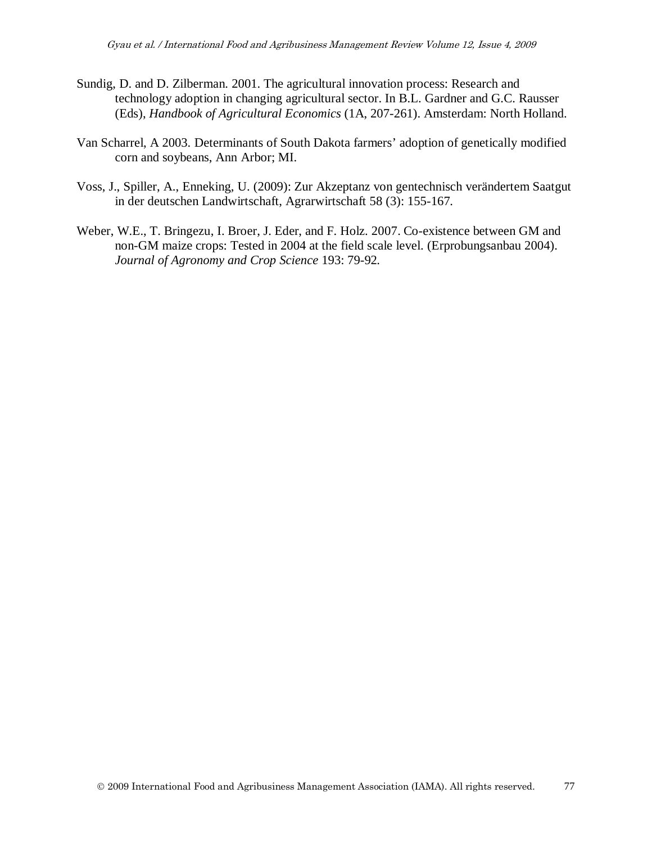- Sundig, D. and D. Zilberman. 2001. The agricultural innovation process: Research and technology adoption in changing agricultural sector. In B.L. Gardner and G.C. Rausser (Eds), *Handbook of Agricultural Economics* (1A, 207-261). Amsterdam: North Holland.
- Van Scharrel, A 2003. Determinants of South Dakota farmers' adoption of genetically modified corn and soybeans, Ann Arbor; MI.
- Voss, J., Spiller, A., Enneking, U. (2009): Zur Akzeptanz von gentechnisch verändertem Saatgut in der deutschen Landwirtschaft, Agrarwirtschaft 58 (3): 155-167.
- Weber, W.E., T. Bringezu, I. Broer, J. Eder, and F. Holz. 2007. Co-existence between GM and non-GM maize crops: Tested in 2004 at the field scale level. (Erprobungsanbau 2004). *Journal of Agronomy and Crop Science* 193: 79-92.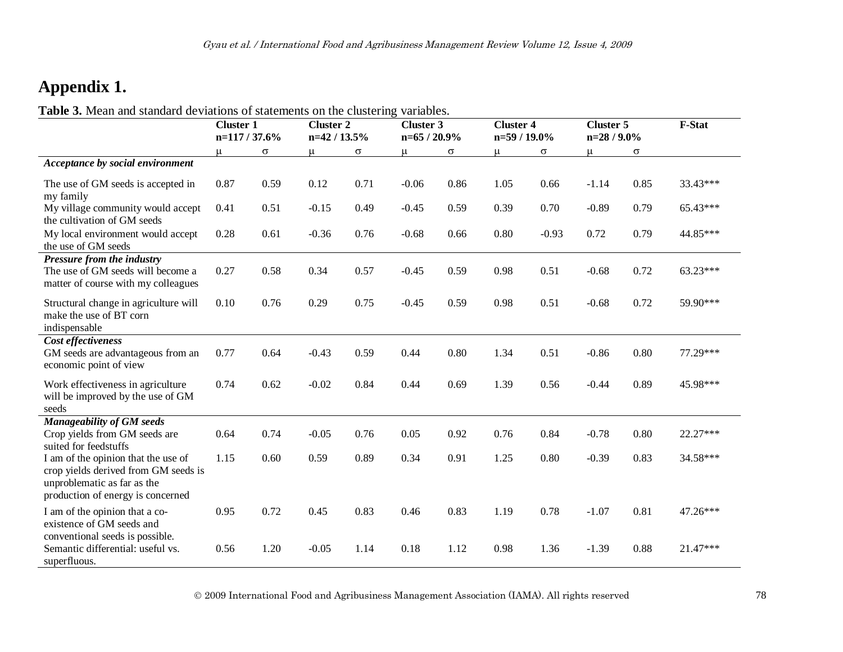# **Appendix 1.**

**Table 3.** Mean and standard deviations of statements on the clustering variables.

|                                                                                                                                                 | <b>Cluster 2</b><br><b>Cluster 1</b><br>n=117 / 37.6%<br>$n=42/13.5%$ |          |         | <b>Cluster 3</b><br>$n=65/20.9%$ |         | <b>Cluster 4</b><br>n=59 / 19.0% |       | <b>Cluster 5</b><br>$n=28/9.0\%$ |         | F-Stat   |            |
|-------------------------------------------------------------------------------------------------------------------------------------------------|-----------------------------------------------------------------------|----------|---------|----------------------------------|---------|----------------------------------|-------|----------------------------------|---------|----------|------------|
|                                                                                                                                                 | $\mu$                                                                 | $\sigma$ | $\mu$   | $\sigma$                         | u       | $\sigma$                         | $\mu$ | $\sigma$                         | μ       | $\sigma$ |            |
| Acceptance by social environment                                                                                                                |                                                                       |          |         |                                  |         |                                  |       |                                  |         |          |            |
| The use of GM seeds is accepted in<br>my family                                                                                                 | 0.87                                                                  | 0.59     | 0.12    | 0.71                             | $-0.06$ | 0.86                             | 1.05  | 0.66                             | $-1.14$ | 0.85     | 33.43***   |
| My village community would accept<br>the cultivation of GM seeds                                                                                | 0.41                                                                  | 0.51     | $-0.15$ | 0.49                             | $-0.45$ | 0.59                             | 0.39  | 0.70                             | $-0.89$ | 0.79     | 65.43***   |
| My local environment would accept<br>the use of GM seeds                                                                                        | 0.28                                                                  | 0.61     | $-0.36$ | 0.76                             | $-0.68$ | 0.66                             | 0.80  | $-0.93$                          | 0.72    | 0.79     | 44.85***   |
| Pressure from the industry<br>The use of GM seeds will become a<br>matter of course with my colleagues                                          | 0.27                                                                  | 0.58     | 0.34    | 0.57                             | $-0.45$ | 0.59                             | 0.98  | 0.51                             | $-0.68$ | 0.72     | $63.23***$ |
| Structural change in agriculture will<br>make the use of BT corn<br>indispensable                                                               | 0.10                                                                  | 0.76     | 0.29    | 0.75                             | $-0.45$ | 0.59                             | 0.98  | 0.51                             | $-0.68$ | 0.72     | 59.90***   |
| Cost effectiveness<br>GM seeds are advantageous from an<br>economic point of view                                                               | 0.77                                                                  | 0.64     | $-0.43$ | 0.59                             | 0.44    | 0.80                             | 1.34  | 0.51                             | $-0.86$ | 0.80     | 77.29***   |
| Work effectiveness in agriculture<br>will be improved by the use of GM<br>seeds                                                                 | 0.74                                                                  | 0.62     | $-0.02$ | 0.84                             | 0.44    | 0.69                             | 1.39  | 0.56                             | $-0.44$ | 0.89     | 45.98***   |
| Manageability of GM seeds<br>Crop yields from GM seeds are<br>suited for feedstuffs                                                             | 0.64                                                                  | 0.74     | $-0.05$ | 0.76                             | 0.05    | 0.92                             | 0.76  | 0.84                             | $-0.78$ | 0.80     | 22.27***   |
| I am of the opinion that the use of<br>crop yields derived from GM seeds is<br>unproblematic as far as the<br>production of energy is concerned | 1.15                                                                  | 0.60     | 0.59    | 0.89                             | 0.34    | 0.91                             | 1.25  | 0.80                             | $-0.39$ | 0.83     | 34.58***   |
| I am of the opinion that a co-<br>existence of GM seeds and<br>conventional seeds is possible.                                                  | 0.95                                                                  | 0.72     | 0.45    | 0.83                             | 0.46    | 0.83                             | 1.19  | 0.78                             | $-1.07$ | 0.81     | 47.26***   |
| Semantic differential: useful vs.<br>superfluous.                                                                                               | 0.56                                                                  | 1.20     | $-0.05$ | 1.14                             | 0.18    | 1.12                             | 0.98  | 1.36                             | $-1.39$ | 0.88     | 21.47***   |